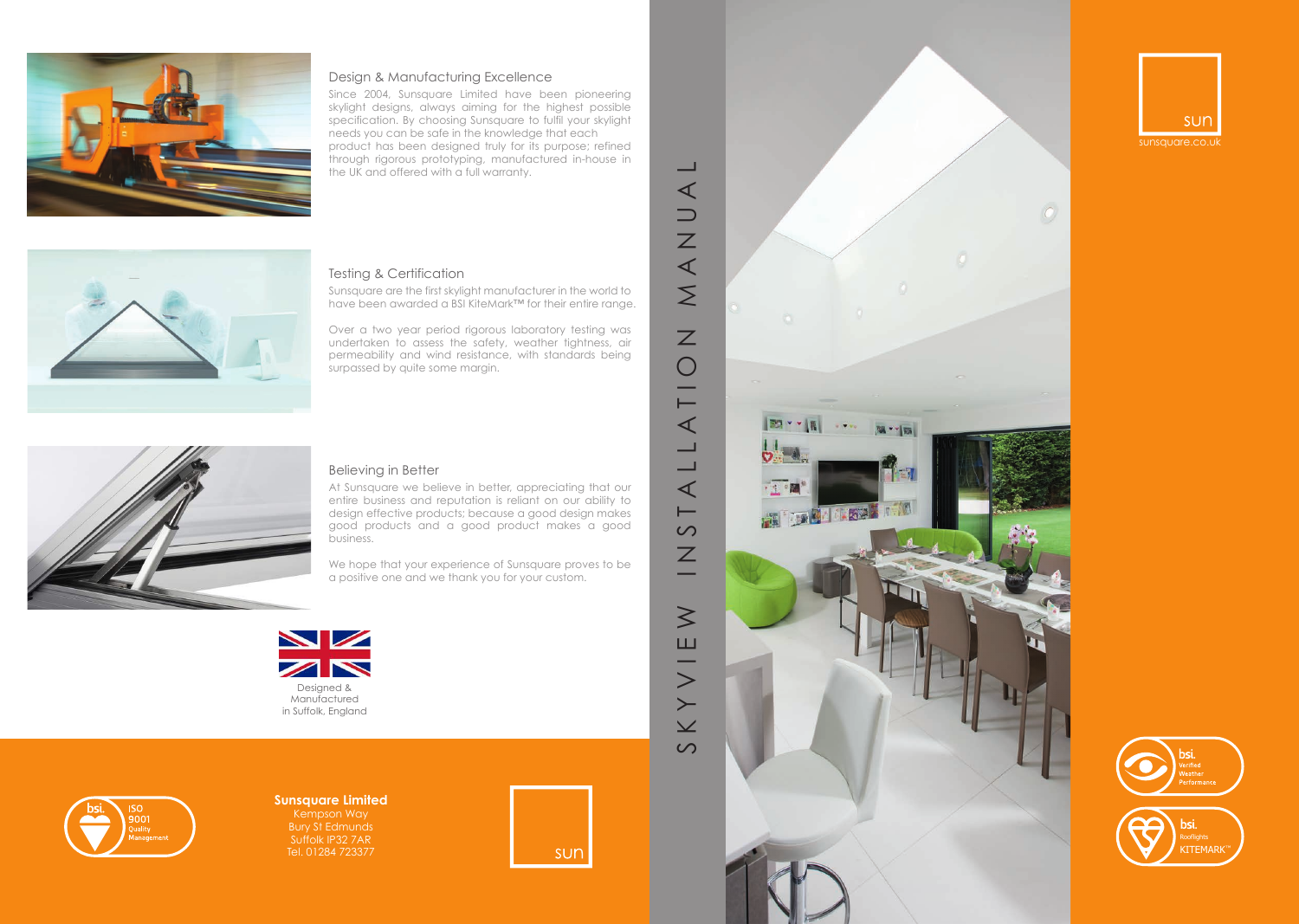





### **Sunsquare Limited** Kempson Way Bury St Edmunds Suffolk IP32 7AR

Tel. 01284 723377









### Design & Manufacturing Excellence

Since 2004, Sunsquare Limited have been pioneering skylight designs, always aiming for the highest possible specification. By choosing Sunsquare to fulfil your skylight needs you can be safe in the knowledge that each product has been designed truly for its purpose; refined through rigorous prototyping, manufactured in-house in the UK and offered with a full warranty.



### Testing & Certification

Sunsquare are the first skylight manufacturer in the world to have been awarded a BSI KiteMark™ for their entire range.

Over a two year period rigorous laboratory testing was undertaken to assess the safety, weather tightness, air permeability and wind resistance, with standards being surpassed by quite some margin.



### Believing in Better

At Sunsquare we believe in better, appreciating that our entire business and reputation is reliant on our ability to design effective products; because a good design makes good products and a good product makes a good business.

We hope that your experience of Sunsquare proves to be a positive one and we thank you for your custom.